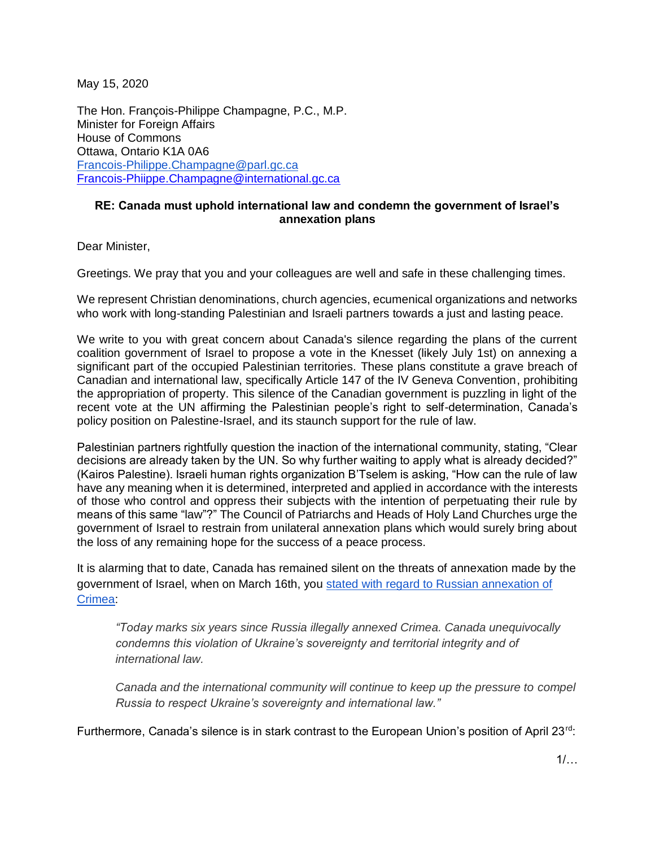May 15, 2020

The Hon. François-Philippe Champagne, P.C., M.P. Minister for Foreign Affairs House of Commons Ottawa, Ontario K1A 0A6 [Francois-Philippe.Champagne@parl.gc.ca](mailto:Francois-Philippe.Champagne@parl.gc.ca) [Francois-Phiippe.Champagne@international.gc.ca](mailto:Francois-Phiippe.Champagne@international.gc.ca)

## **RE: Canada must uphold international law and condemn the government of Israel's annexation plans**

Dear Minister,

Greetings. We pray that you and your colleagues are well and safe in these challenging times.

We represent Christian denominations, church agencies, ecumenical organizations and networks who work with long-standing Palestinian and Israeli partners towards a just and lasting peace.

We write to you with great concern about Canada's silence regarding the plans of the current coalition government of Israel to propose a vote in the Knesset (likely July 1st) on annexing a significant part of the occupied Palestinian territories. These plans constitute a grave breach of Canadian and international law, specifically Article 147 of the IV Geneva Convention, prohibiting the appropriation of property. This silence of the Canadian government is puzzling in light of the recent vote at the UN affirming the Palestinian people's right to self-determination, Canada's policy position on Palestine-Israel, and its staunch support for the rule of law.

Palestinian partners rightfully question the inaction of the international community, stating, "Clear decisions are already taken by the UN. So why further waiting to apply what is already decided?" (Kairos Palestine). Israeli human rights organization B'Tselem is asking, "How can the rule of law have any meaning when it is determined, interpreted and applied in accordance with the interests of those who control and oppress their subjects with the intention of perpetuating their rule by means of this same "law"?" The Council of Patriarchs and Heads of Holy Land Churches urge the government of Israel to restrain from unilateral annexation plans which would surely bring about the loss of any remaining hope for the success of a peace process.

It is alarming that to date, Canada has remained silent on the threats of annexation made by the government of Israel, when on March 16th, you [stated with regard to Russian annexation of](https://www.canada.ca/en/global-affairs/news/2020/03/statement-by-minister-of-foreign-affairs-on-sixth-anniversary-of-illegal-annexation-of-crimea.html)  [Crimea:](https://www.canada.ca/en/global-affairs/news/2020/03/statement-by-minister-of-foreign-affairs-on-sixth-anniversary-of-illegal-annexation-of-crimea.html)

*"Today marks six years since Russia illegally annexed Crimea. Canada unequivocally condemns this violation of Ukraine's sovereignty and territorial integrity and of international law.*

*Canada and the international community will continue to keep up the pressure to compel Russia to respect Ukraine's sovereignty and international law."*

Furthermore, Canada's silence is in stark contrast to the European Union's position of April 23<sup>rd</sup>: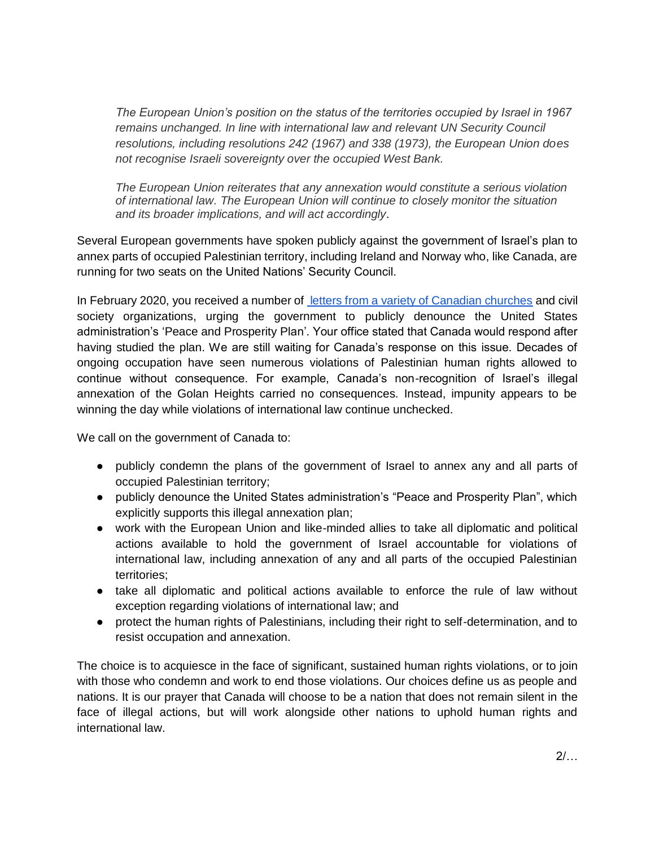*The European Union's position on the status of the territories occupied by Israel in 1967 remains unchanged. In line with international law and relevant UN Security Council resolutions, including resolutions 242 (1967) and 338 (1973), the European Union does not recognise Israeli sovereignty over the occupied West Bank.*

*The European Union reiterates that any annexation would constitute a serious violation of international law. The European Union will continue to closely monitor the situation and its broader implications, and will act accordingly*.

Several European governments have spoken publicly against the government of Israel's plan to annex parts of occupied Palestinian territory, including Ireland and Norway who, like Canada, are running for two seats on the United Nations' Security Council.

In February 2020, you received a number of [letters from a variety of Canadian churches](https://www.kairoscanada.org/kairos-member-churches-and-partners-call-on-canada-to-publicly-reject-the-u-s-administrations-peace-to-prosperity-plan) and civil society organizations, urging the government to publicly denounce the United States administration's 'Peace and Prosperity Plan'. Your office stated that Canada would respond after having studied the plan. We are still waiting for Canada's response on this issue. Decades of ongoing occupation have seen numerous violations of Palestinian human rights allowed to continue without consequence. For example, Canada's non-recognition of Israel's illegal annexation of the Golan Heights carried no consequences. Instead, impunity appears to be winning the day while violations of international law continue unchecked.

We call on the government of Canada to:

- publicly condemn the plans of the government of Israel to annex any and all parts of occupied Palestinian territory;
- publicly denounce the United States administration's "Peace and Prosperity Plan", which explicitly supports this illegal annexation plan;
- work with the European Union and like-minded allies to take all diplomatic and political actions available to hold the government of Israel accountable for violations of international law, including annexation of any and all parts of the occupied Palestinian territories;
- take all diplomatic and political actions available to enforce the rule of law without exception regarding violations of international law; and
- protect the human rights of Palestinians, including their right to self-determination, and to resist occupation and annexation.

The choice is to acquiesce in the face of significant, sustained human rights violations, or to join with those who condemn and work to end those violations. Our choices define us as people and nations. It is our prayer that Canada will choose to be a nation that does not remain silent in the face of illegal actions, but will work alongside other nations to uphold human rights and international law.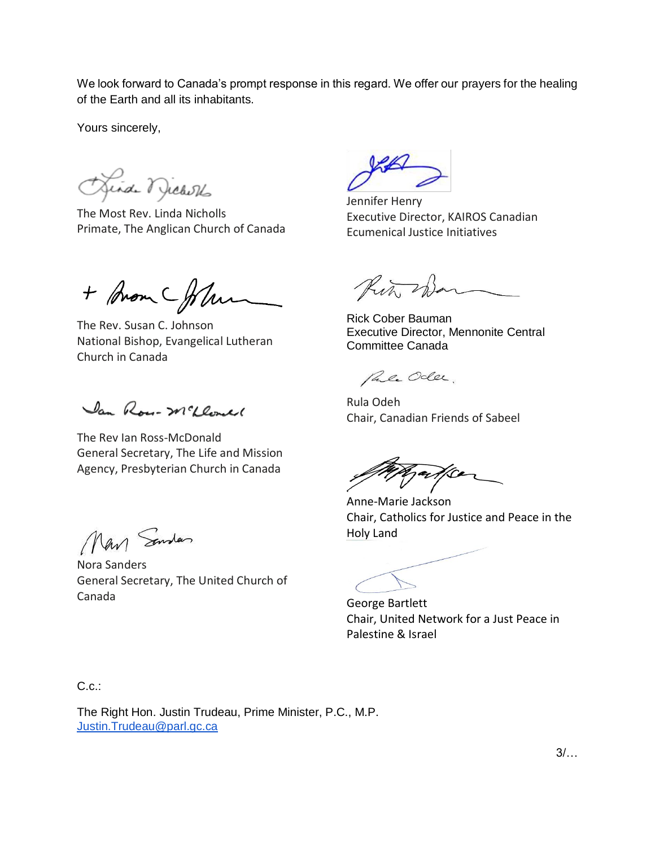We look forward to Canada's prompt response in this regard. We offer our prayers for the healing of the Earth and all its inhabitants.

Yours sincerely,

Junde Michells

The Most Rev. Linda Nicholls Primate, The Anglican Church of Canada

+ Brom Cfolu

The Rev. Susan C. Johnson National Bishop, Evangelical Lutheran Church in Canada

Jan Rose-Mcleonel

The Rev Ian Ross-McDonald General Secretary, The Life and Mission Agency, Presbyterian Church in Canada

Man Sender

Nora Sanders General Secretary, The United Church of Canada

Jennifer Henry Executive Director, KAIROS Canadian Ecumenical Justice Initiatives

Rin. Sar

Rick Cober Bauman Executive Director, Mennonite Central Committee Canada

Pale Odler.

Rula Odeh Chair, Canadian Friends of Sabeel

Anne-Marie Jackson Chair, Catholics for Justice and Peace in the Holy Land

George Bartlett Chair, United Network for a Just Peace in Palestine & Israel

C.c.:

The Right Hon. Justin Trudeau, Prime Minister, P.C., M.P. [Justin.Trudeau@parl.gc.ca](mailto:Justin.Trudeau@parl.gc.ca)